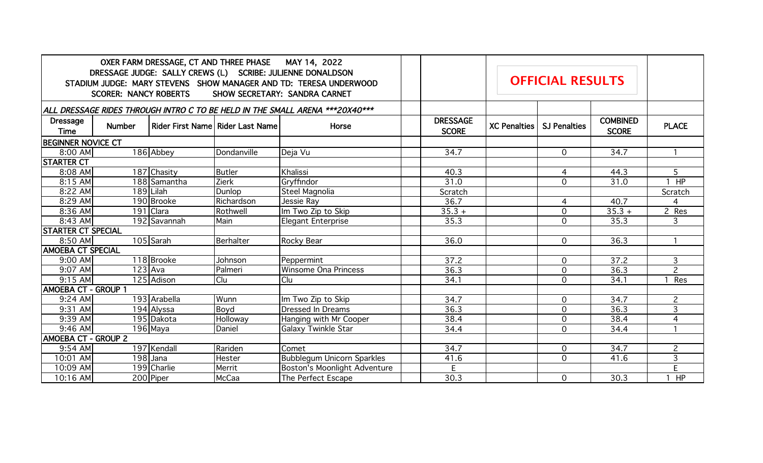|                                                                              | <b>SCORER: NANCY ROBERTS</b> | OXER FARM DRESSAGE, CT AND THREE PHASE MAY 14, 2022<br>DRESSAGE JUDGE: SALLY CREWS (L) SCRIBE: JULIENNE DONALDSON<br>STADIUM JUDGE: MARY STEVENS SHOW MANAGER AND TD: TERESA UNDERWOOD<br>SHOW SECRETARY: SANDRA CARNET |                                  |                                     | <b>OFFICIAL RESULTS</b> |                                 |                     |                     |                                 |                |
|------------------------------------------------------------------------------|------------------------------|-------------------------------------------------------------------------------------------------------------------------------------------------------------------------------------------------------------------------|----------------------------------|-------------------------------------|-------------------------|---------------------------------|---------------------|---------------------|---------------------------------|----------------|
| ALL DRESSAGE RIDES THROUGH INTRO C TO BE HELD IN THE SMALL ARENA ***20X40*** |                              |                                                                                                                                                                                                                         |                                  |                                     |                         |                                 |                     |                     |                                 |                |
| <b>Dressage</b><br>Time                                                      | <b>Number</b>                |                                                                                                                                                                                                                         | Rider First Name Rider Last Name | Horse                               |                         | <b>DRESSAGE</b><br><b>SCORE</b> | <b>XC Penalties</b> | <b>SJ Penalties</b> | <b>COMBINED</b><br><b>SCORE</b> | <b>PLACE</b>   |
| <b>BEGINNER NOVICE CT</b>                                                    |                              |                                                                                                                                                                                                                         |                                  |                                     |                         |                                 |                     |                     |                                 |                |
| 8:00 AM                                                                      |                              | 186 Abbey                                                                                                                                                                                                               | Dondanville                      | Deja Vu                             |                         | 34.7                            |                     | 0                   | 34.7                            |                |
| <b>STARTER CT</b>                                                            |                              |                                                                                                                                                                                                                         |                                  |                                     |                         |                                 |                     |                     |                                 |                |
| $8:08$ AM                                                                    |                              | 187 Chasity                                                                                                                                                                                                             | Butler                           | Khalissi                            |                         | 40.3                            |                     | 4                   | 44.3                            | $\overline{5}$ |
| $8:15$ AM                                                                    |                              | 188 Samantha                                                                                                                                                                                                            | <b>Zierk</b>                     | Gryffindor                          |                         | 31.0                            |                     | $\overline{0}$      | 31.0                            | $1$ HP         |
| 8:22 AM                                                                      |                              | 189 Lilah                                                                                                                                                                                                               | Dunlop                           | Steel Magnolia                      |                         | Scratch                         |                     |                     |                                 | Scratch        |
| 8:29 AM                                                                      |                              | 190 Brooke                                                                                                                                                                                                              | Richardson                       | Jessie Ray                          |                         | 36.7                            |                     | 4                   | 40.7                            | $\overline{4}$ |
| 8:36 AM                                                                      |                              | 191 Clara                                                                                                                                                                                                               | Rothwell                         | Im Two Zip to Skip                  |                         | $35.3 +$                        |                     | $\overline{O}$      | $35.3 +$                        | 2 Res          |
| $8:43$ AM                                                                    |                              | 192 Savannah                                                                                                                                                                                                            | Main                             | <b>Elegant Enterprise</b>           |                         | 35.3                            |                     | $\overline{O}$      | 35.3                            | 3              |
| <b>STARTER CT SPECIAL</b>                                                    |                              |                                                                                                                                                                                                                         |                                  |                                     |                         |                                 |                     |                     |                                 |                |
| $8:50$ AM                                                                    |                              | 105 Sarah                                                                                                                                                                                                               | Berhalter                        | Rocky Bear                          |                         | 36.0                            |                     | $\overline{O}$      | 36.3                            | $\mathbf{1}$   |
| <b>AMOEBA CT SPECIAL</b>                                                     |                              |                                                                                                                                                                                                                         |                                  |                                     |                         |                                 |                     |                     |                                 |                |
| $9:00$ AM                                                                    |                              | 118 Brooke                                                                                                                                                                                                              | Johnson                          | Peppermint                          |                         | 37.2                            |                     | $\overline{0}$      | 37.2                            | $\overline{3}$ |
| $9:07$ AM                                                                    |                              | $123$ Ava                                                                                                                                                                                                               | Palmeri                          | Winsome Ona Princess                |                         | 36.3                            |                     | 0                   | 36.3                            | $\overline{2}$ |
| $9:15$ AM                                                                    |                              | 125 Adison                                                                                                                                                                                                              | lClu                             | <b>Clu</b>                          |                         | 34.1                            |                     | $\overline{0}$      | 34.1                            | Res            |
| <b>AMOEBA CT - GROUP 1</b>                                                   |                              |                                                                                                                                                                                                                         |                                  |                                     |                         |                                 |                     |                     |                                 |                |
| $9:24$ AM                                                                    |                              | 193 Arabella                                                                                                                                                                                                            | Wunn                             | Im Two Zip to Skip                  |                         | 34.7                            |                     | $\overline{O}$      | 34.7                            | $\overline{2}$ |
| $9:31$ AM                                                                    |                              | 194 Alyssa                                                                                                                                                                                                              | Boyd                             | <b>Dressed In Dreams</b>            |                         | 36.3                            |                     | $\overline{O}$      | 36.3                            | 3              |
| $9:39$ AM                                                                    |                              | 195 Dakota                                                                                                                                                                                                              | Holloway                         | Hanging with Mr Cooper              |                         | 38.4                            |                     | 0                   | 38.4                            | 4              |
| $9:46$ AM                                                                    |                              | 196 Maya                                                                                                                                                                                                                | Daniel                           | <b>Galaxy Twinkle Star</b>          |                         | 34.4                            |                     | $\overline{O}$      | 34.4                            | $\mathbf{1}$   |
| <b>AMOEBA CT - GROUP 2</b>                                                   |                              |                                                                                                                                                                                                                         |                                  |                                     |                         |                                 |                     |                     |                                 |                |
| $9:54$ AM                                                                    |                              | 197 Kendall                                                                                                                                                                                                             | Rariden                          | Comet                               |                         | 34.7                            |                     | $\overline{O}$      | 34.7                            | $\overline{c}$ |
| $10:01$ AM                                                                   |                              | $198$ Jana                                                                                                                                                                                                              | Hester                           | Bubblegum Unicorn Sparkles          |                         | 41.6                            |                     | $\overline{O}$      | 41.6                            | $\mathsf{3}$   |
| $10:09$ AM                                                                   |                              | 199 Charlie                                                                                                                                                                                                             | Merrit                           | <b>Boston's Moonlight Adventure</b> |                         | E                               |                     |                     |                                 | E              |
| $10:16$ AM                                                                   |                              | 200 Piper                                                                                                                                                                                                               | McCaa                            | The Perfect Escape                  |                         | 30.3                            |                     | $\overline{0}$      | 30.3                            | $1$ HP         |